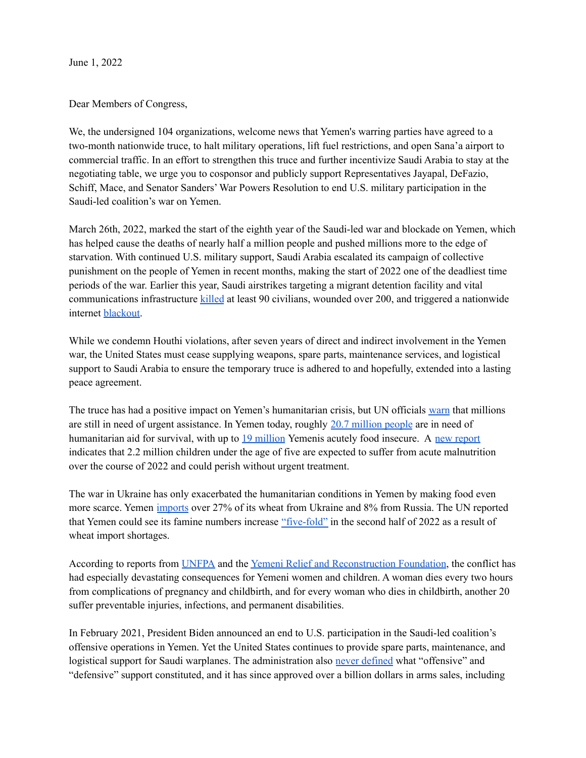June 1, 2022

Dear Members of Congress,

We, the undersigned 104 organizations, welcome news that Yemen's warring parties have agreed to a two-month nationwide truce, to halt military operations, lift fuel restrictions, and open Sana'a airport to commercial traffic. In an effort to strengthen this truce and further incentivize Saudi Arabia to stay at the negotiating table, we urge you to cosponsor and publicly support Representatives Jayapal, DeFazio, Schiff, Mace, and Senator Sanders' War Powers Resolution to end U.S. military participation in the Saudi-led coalition's war on Yemen.

March 26th, 2022, marked the start of the eighth year of the Saudi-led war and blockade on Yemen, which has helped cause the deaths of nearly half a million people and pushed millions more to the edge of starvation. With continued U.S. military support, Saudi Arabia escalated its campaign of collective punishment on the people of Yemen in recent months, making the start of 2022 one of the deadliest time periods of the war. Earlier this year, Saudi airstrikes targeting a migrant detention facility and vital communications infrastructure [killed](https://www.reuters.com/world/middle-east/death-toll-rises-91-yemen-detention-centre-strike-houthi-minister-2022-01-25/) at least 90 civilians, wounded over 200, and triggered a nationwide internet [blackout](https://www.middleeasteye.net/news/yemen-saudi-arabia-internet-returns-after-four-day-outage).

While we condemn Houthi violations, after seven years of direct and indirect involvement in the Yemen war, the United States must cease supplying weapons, spare parts, maintenance services, and logistical support to Saudi Arabia to ensure the temporary truce is adhered to and hopefully, extended into a lasting peace agreement.

The truce has had a positive impact on Yemen's humanitarian crisis, but UN officials [warn](https://www.latimes.com/world-nation/story/2022-04-14/un-envoy-sees-end-to-yemen-war) that millions are still in need of urgent assistance. In Yemen today, roughly 20.7 [million](https://www.wfp.org/emergencies/yemen-emergency) people are in need of humanitarian aid for survival, with up to 19 [million](https://www.wfp.org/emergencies/yemen-emergency) Yemenis acutely food insecure. A new [report](https://reliefweb.int/report/yemen/yemen-food-security-nutrition-snapshot-march-2022-enar) indicates that 2.2 million children under the age of five are expected to suffer from acute malnutrition over the course of 2022 and could perish without urgent treatment.

The war in Ukraine has only exacerbated the humanitarian conditions in Yemen by making food even more scarce. Yemen [imports](https://www.agriculture.com/markets/newswire/ukraine-war-threatens-to-make-bread-a-luxury-in-the-middle-east) over 27% of its wheat from Ukraine and 8% from Russia. The UN reported that Yemen could see its famine numbers increase ["five-fold"](https://reliefweb.int/report/yemen/brutal-war-yemen-dire-hunger-crisis-teetering-edge-catastrophe#:~:text=Famine%20to%20rise%20five%2Dfold,the%20second%20half%20of%202022.) in the second half of 2022 as a result of wheat import shortages.

According to reports from [UNFPA](https://www.unfpa.org/press/urgent-funding-needed-provide-protection-and-health-services-millions-women-yemen) and the Yemeni Relief and [Reconstruction](https://yemenfoundation.org/annual-report-what-we-accomplished-in-2021/) Foundation, the conflict has had especially devastating consequences for Yemeni women and children. A woman dies every two hours from complications of pregnancy and childbirth, and for every woman who dies in childbirth, another 20 suffer preventable injuries, infections, and permanent disabilities.

In February 2021, President Biden announced an end to U.S. participation in the Saudi-led coalition's offensive operations in Yemen. Yet the United States continues to provide spare parts, maintenance, and logistical support for Saudi warplanes. The administration also never [defined](https://theintercept.com/2021/05/27/yemen-biden-support-congress-letter/) what "offensive" and "defensive" support constituted, and it has since approved over a billion dollars in arms sales, including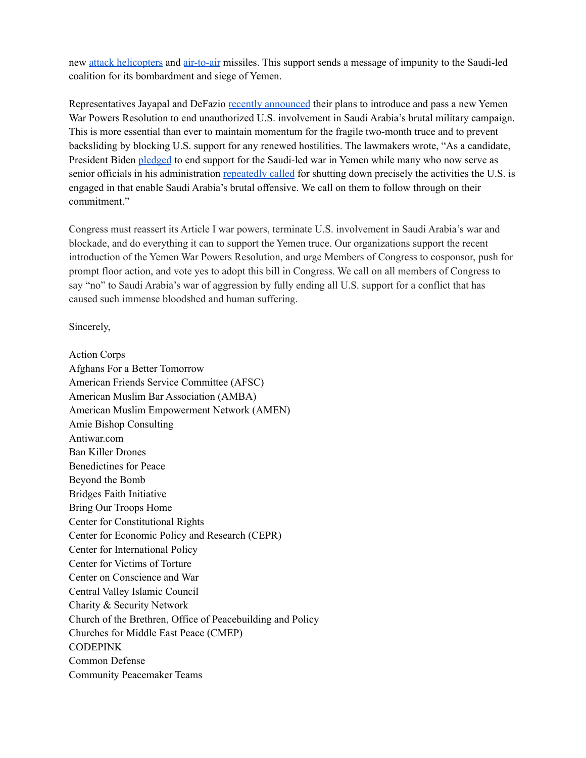new attack [helicopters](https://www.reuters.com/world/us-state-department-approves-potential-500-million-saudi-maintenance-deal-2021-09-16/) and [air-to-air](https://www.cnn.com/2021/11/04/politics/us-saudi-arabia-arms-sale/index.html) missiles. This support sends a message of impunity to the Saudi-led coalition for its bombardment and siege of Yemen.

Representatives Jayapal and DeFazio recently [announced](https://www.thenation.com/article/world/yemen-wars-power-resoultion/) their plans to introduce and pass a new Yemen War Powers Resolution to end unauthorized U.S. involvement in Saudi Arabia's brutal military campaign. This is more essential than ever to maintain momentum for the fragile two-month truce and to prevent backsliding by blocking U.S. support for any renewed hostilities. The lawmakers wrote, "As a candidate, President Biden [pledged](https://www.foreignaffairs.com/articles/united-states/2020-01-23/why-america-must-lead-again) to end support for the Saudi-led war in Yemen while many who now serve as senior officials in his administration [repeatedly](https://www.justsecurity.org/wp-content/uploads/2021/01/yemen-statement-former-obama-officials-november-11-2018.pdf) [called](https://www.sanders.senate.gov/wp-content/uploads/yemen-letter-obama-officals.pdf) for shutting down precisely the activities the U.S. is engaged in that enable Saudi Arabia's brutal offensive. We call on them to follow through on their commitment."

Congress must reassert its Article I war powers, terminate U.S. involvement in Saudi Arabia's war and blockade, and do everything it can to support the Yemen truce. Our organizations support the recent introduction of the Yemen War Powers Resolution, and urge Members of Congress to cosponsor, push for prompt floor action, and vote yes to adopt this bill in Congress. We call on all members of Congress to say "no" to Saudi Arabia's war of aggression by fully ending all U.S. support for a conflict that has caused such immense bloodshed and human suffering.

Sincerely,

Action Corps Afghans For a Better Tomorrow American Friends Service Committee (AFSC) American Muslim Bar Association (AMBA) American Muslim Empowerment Network (AMEN) Amie Bishop Consulting Antiwar.com Ban Killer Drones Benedictines for Peace Beyond the Bomb Bridges Faith Initiative Bring Our Troops Home Center for Constitutional Rights Center for Economic Policy and Research (CEPR) Center for International Policy Center for Victims of Torture Center on Conscience and War Central Valley Islamic Council Charity & Security Network Church of the Brethren, Office of Peacebuilding and Policy Churches for Middle East Peace (CMEP) **CODEPINK** Common Defense Community Peacemaker Teams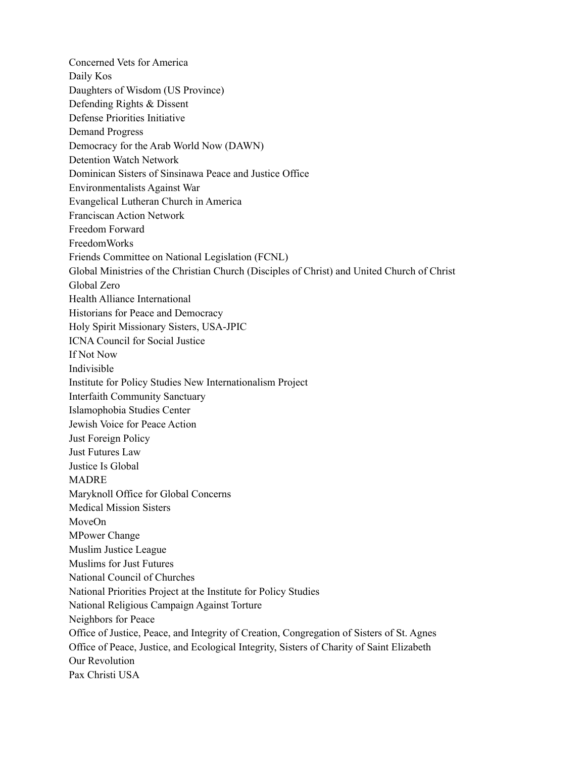Concerned Vets for America Daily Kos Daughters of Wisdom (US Province) Defending Rights & Dissent Defense Priorities Initiative Demand Progress Democracy for the Arab World Now (DAWN) Detention Watch Network Dominican Sisters of Sinsinawa Peace and Justice Office Environmentalists Against War Evangelical Lutheran Church in America Franciscan Action Network Freedom Forward FreedomWorks Friends Committee on National Legislation (FCNL) Global Ministries of the Christian Church (Disciples of Christ) and United Church of Christ Global Zero Health Alliance International Historians for Peace and Democracy Holy Spirit Missionary Sisters, USA-JPIC ICNA Council for Social Justice If Not Now Indivisible Institute for Policy Studies New Internationalism Project Interfaith Community Sanctuary Islamophobia Studies Center Jewish Voice for Peace Action Just Foreign Policy Just Futures Law Justice Is Global MADRE Maryknoll Office for Global Concerns Medical Mission Sisters MoveOn MPower Change Muslim Justice League Muslims for Just Futures National Council of Churches National Priorities Project at the Institute for Policy Studies National Religious Campaign Against Torture Neighbors for Peace Office of Justice, Peace, and Integrity of Creation, Congregation of Sisters of St. Agnes Office of Peace, Justice, and Ecological Integrity, Sisters of Charity of Saint Elizabeth Our Revolution Pax Christi USA